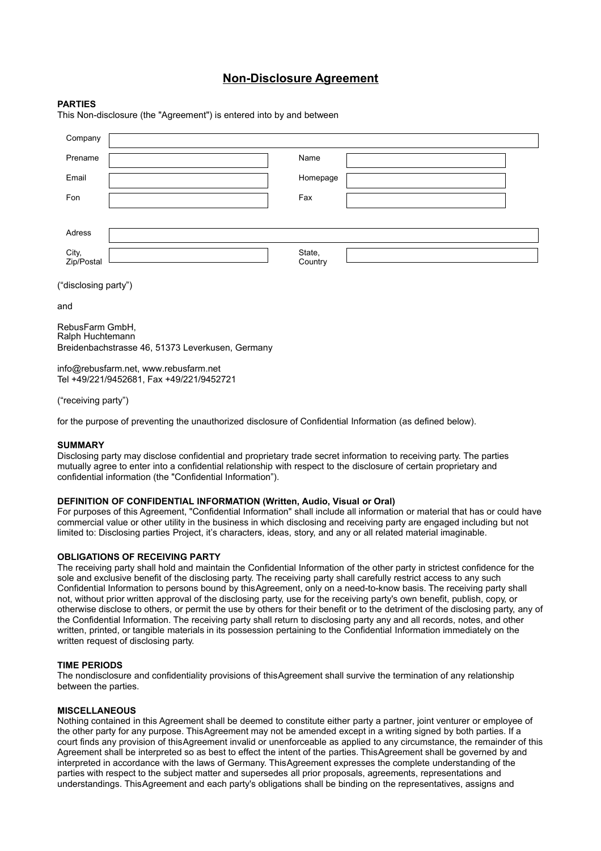# **Non-Disclosure Agreement**

## **PARTIES**

This Non-disclosure (the "Agreement") is entered into by and between

| Company                             |                                                  |                   |  |  |  |
|-------------------------------------|--------------------------------------------------|-------------------|--|--|--|
| Prename                             |                                                  | Name              |  |  |  |
| Email                               |                                                  | Homepage          |  |  |  |
| Fon                                 |                                                  | Fax               |  |  |  |
|                                     |                                                  |                   |  |  |  |
| Adress                              |                                                  |                   |  |  |  |
| City,<br>Zip/Postal                 |                                                  | State,<br>Country |  |  |  |
| ("disclosing party")                |                                                  |                   |  |  |  |
| and                                 |                                                  |                   |  |  |  |
| RebusFarm GmbH,<br>Ralph Huchtemann | Breidenbachstrasse 46, 51373 Leverkusen, Germany |                   |  |  |  |

info@rebusfarm.net, www.rebusfarm.net Tel +49/221/9452681, Fax +49/221/9452721

("receiving party")

for the purpose of preventing the unauthorized disclosure of Confidential Information (as defined below).

#### **SUMMARY**

Disclosing party may disclose confidential and proprietary trade secret information to receiving party. The parties mutually agree to enter into a confidential relationship with respect to the disclosure of certain proprietary and confidential information (the "Confidential Information").

#### **DEFINITION OF CONFIDENTIAL INFORMATION (Written, Audio, Visual or Oral)**

For purposes of this Agreement, "Confidential Information" shall include all information or material that has or could have commercial value or other utility in the business in which disclosing and receiving party are engaged including but not limited to: Disclosing parties Project, it's characters, ideas, story, and any or all related material imaginable.

#### **OBLIGATIONS OF RECEIVING PARTY**

The receiving party shall hold and maintain the Confidential Information of the other party in strictest confidence for the sole and exclusive benefit of the disclosing party. The receiving party shall carefully restrict access to any such Confidential Information to persons bound by this Agreement, only on a need-to-know basis. The receiving party shall not, without prior written approval of the disclosing party, use for the receiving party's own benefit, publish, copy, or otherwise disclose to others, or permit the use by others for their benefit or to the detriment of the disclosing party, any of the Confidential Information. The receiving party shall return to disclosing party any and all records, notes, and other written, printed, or tangible materials in its possession pertaining to the Confidential Information immediately on the written request of disclosing party.

# **TIME PERIODS**

The nondisclosure and confidentiality provisions of this Agreement shall survive the termination of any relationship between the parties.

### **MISCELLANEOUS**

Nothing contained in this Agreement shall be deemed to constitute either party a partner, joint venturer or employee of the other party for any purpose. This Agreement may not be amended except in a writing signed by both parties. If a court finds any provision of this Agreement invalid or unenforceable as applied to any circumstance, the remainder of this Agreement shall be interpreted so as best to effect the intent of the parties. This Agreement shall be governed by and interpreted in accordance with the laws of Germany. This Agreement expresses the complete understanding of the parties with respect to the subject matter and supersedes all prior proposals, agreements, representations and understandings. This Agreement and each party's obligations shall be binding on the representatives, assigns and